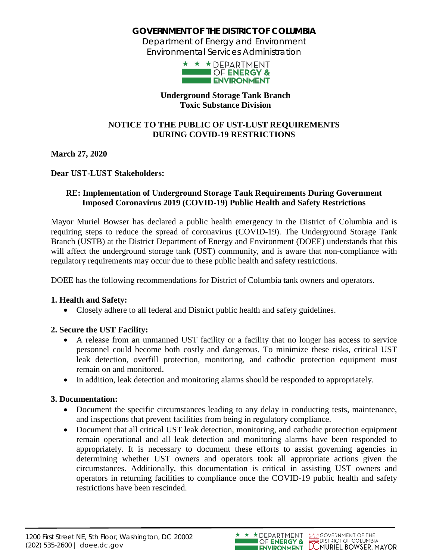# **GOVERNMENT OF THE DISTRICT OF COLUMBIA**

Department of Energy and Environment Environmental Services Administration



#### **Underground Storage Tank Branch Toxic Substance Division**

### **NOTICE TO THE PUBLIC OF UST-LUST REQUIREMENTS DURING COVID-19 RESTRICTIONS**

**March 27, 2020**

### **Dear UST-LUST Stakeholders:**

### **RE: Implementation of Underground Storage Tank Requirements During Government Imposed Coronavirus 2019 (COVID-19) Public Health and Safety Restrictions**

Mayor Muriel Bowser has declared a public health emergency in the District of Columbia and is requiring steps to reduce the spread of coronavirus (COVID-19). The Underground Storage Tank Branch (USTB) at the District Department of Energy and Environment (DOEE) understands that this will affect the underground storage tank (UST) community, and is aware that non-compliance with regulatory requirements may occur due to these public health and safety restrictions.

DOEE has the following recommendations for District of Columbia tank owners and operators.

## **1. Health and Safety:**

• Closely adhere to all federal and District public health and safety guidelines.

## **2. Secure the UST Facility:**

- A release from an unmanned UST facility or a facility that no longer has access to service personnel could become both costly and dangerous. To minimize these risks, critical UST leak detection, overfill protection, monitoring, and cathodic protection equipment must remain on and monitored.
- In addition, leak detection and monitoring alarms should be responded to appropriately.

#### **3. Documentation:**

- Document the specific circumstances leading to any delay in conducting tests, maintenance, and inspections that prevent facilities from being in regulatory compliance.
- Document that all critical UST leak detection, monitoring, and cathodic protection equipment remain operational and all leak detection and monitoring alarms have been responded to appropriately. It is necessary to document these efforts to assist governing agencies in determining whether UST owners and operators took all appropriate actions given the circumstances. Additionally, this documentation is critical in assisting UST owners and operators in returning facilities to compliance once the COVID-19 public health and safety restrictions have been rescinded.



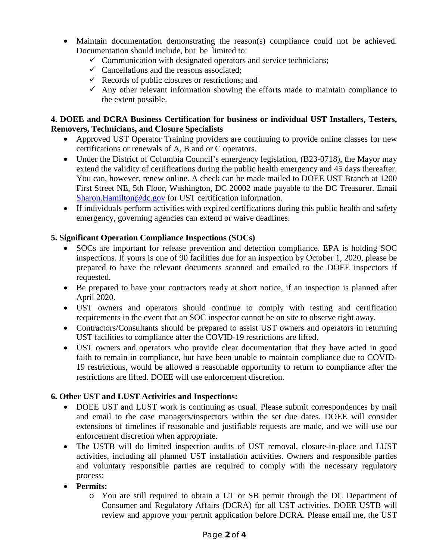- Maintain documentation demonstrating the reason(s) compliance could not be achieved. Documentation should include, but be limited to:
	- $\checkmark$  Communication with designated operators and service technicians;
	- $\checkmark$  Cancellations and the reasons associated;
	- $\checkmark$  Records of public closures or restrictions; and
	- $\checkmark$  Any other relevant information showing the efforts made to maintain compliance to the extent possible.

#### **4. DOEE and DCRA Business Certification for business or individual UST Installers, Testers, Removers, Technicians, and Closure Specialists**

- Approved UST Operator Training providers are continuing to provide online classes for new certifications or renewals of A, B and or C operators.
- Under the District of Columbia Council's emergency legislation, (B23-0718), the Mayor may extend the validity of certifications during the public health emergency and 45 days thereafter. You can, however, renew online. A check can be made mailed to DOEE UST Branch at 1200 First Street NE, 5th Floor, Washington, DC 20002 made payable to the DC Treasurer. Email Sharon.Hamilton@dc.gov for UST certification information.
- If individuals perform activities with expired certifications during this public health and safety emergency, governing agencies can extend or waive deadlines.

### **5. Significant Operation Compliance Inspections (SOCs)**

- SOCs are important for release prevention and detection compliance. EPA is holding SOC inspections. If yours is one of 90 facilities due for an inspection by October 1, 2020, please be prepared to have the relevant documents scanned and emailed to the DOEE inspectors if requested.
- Be prepared to have your contractors ready at short notice, if an inspection is planned after April 2020.
- UST owners and operators should continue to comply with testing and certification requirements in the event that an SOC inspector cannot be on site to observe right away.
- Contractors/Consultants should be prepared to assist UST owners and operators in returning UST facilities to compliance after the COVID-19 restrictions are lifted.
- UST owners and operators who provide clear documentation that they have acted in good faith to remain in compliance, but have been unable to maintain compliance due to COVID-19 restrictions, would be allowed a reasonable opportunity to return to compliance after the restrictions are lifted. DOEE will use enforcement discretion.

#### **6. Other UST and LUST Activities and Inspections:**

- DOEE UST and LUST work is continuing as usual. Please submit correspondences by mail and email to the case managers/inspectors within the set due dates. DOEE will consider extensions of timelines if reasonable and justifiable requests are made, and we will use our enforcement discretion when appropriate.
- The USTB will do limited inspection audits of UST removal, closure-in-place and LUST activities, including all planned UST installation activities. Owners and responsible parties and voluntary responsible parties are required to comply with the necessary regulatory process:
- **Permits:**
	- o You are still required to obtain a UT or SB permit through the DC Department of Consumer and Regulatory Affairs (DCRA) for all UST activities. DOEE USTB will review and approve your permit application before DCRA. Please email me, the UST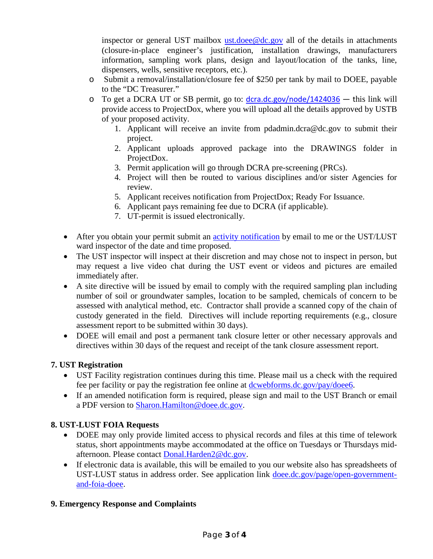inspector or general UST mailbox ust.doee@dc.gov all of the details in attachments (closure-in-place engineer's justification, installation drawings, manufacturers information, sampling work plans, design and layout/location of the tanks, line, dispensers, wells, sensitive receptors, etc.).

- o Submit a removal/installation/closure fee of \$250 per tank by mail to DOEE, payable to the "DC Treasurer."
- $\circ$  To get a DCRA UT or SB permit, go to:  $\frac{d_{\text{Cra.dc.gov}}/node/1424036 \text{this link will}}{1}$ provide access to ProjectDox, where you will upload all the details approved by USTB of your proposed activity.
	- 1. Applicant will receive an invite from pdadmin.dcra@dc.gov to submit their project.
	- 2. Applicant uploads approved package into the DRAWINGS folder in ProjectDox.
	- 3. Permit application will go through DCRA pre-screening (PRCs).
	- 4. Project will then be routed to various disciplines and/or sister Agencies for review.
	- 5. Applicant receives notification from ProjectDox; Ready For Issuance.
	- 6. Applicant pays remaining fee due to DCRA (if applicable).
	- 7. UT-permit is issued electronically.
- After you obtain your permit submit an *activity notification* by email to me or the UST/LUST ward inspector of the date and time proposed.
- The UST inspector will inspect at their discretion and may chose not to inspect in person, but may request a live video chat during the UST event or videos and pictures are emailed immediately after.
- A site directive will be issued by email to comply with the required sampling plan including number of soil or groundwater samples, location to be sampled, chemicals of concern to be assessed with analytical method, etc. Contractor shall provide a scanned copy of the chain of custody generated in the field. Directives will include reporting requirements (e.g., closure assessment report to be submitted within 30 days).
- DOEE will email and post a permanent tank closure letter or other necessary approvals and directives within 30 days of the request and receipt of the tank closure assessment report.

## **7. UST Registration**

- UST Facility registration continues during this time. Please mail us a check with the required fee per facility or pay the registration fee online at dcwebforms.dc.gov/pay/doee6.
- If an amended notification form is required, please sign and mail to the UST Branch or email a PDF version to Sharon.Hamilton@doee.dc.gov.

# **8. UST-LUST FOIA Requests**

- DOEE may only provide limited access to physical records and files at this time of telework status, short appointments maybe accommodated at the office on Tuesdays or Thursdays midafternoon. Please contact Donal.Harden2@dc.gov.
- If electronic data is available, this will be emailed to you our website also has spreadsheets of UST-LUST status in address order. See application link doee.dc.gov/page/open-governmentand-foia-doee.

# **9. Emergency Response and Complaints**